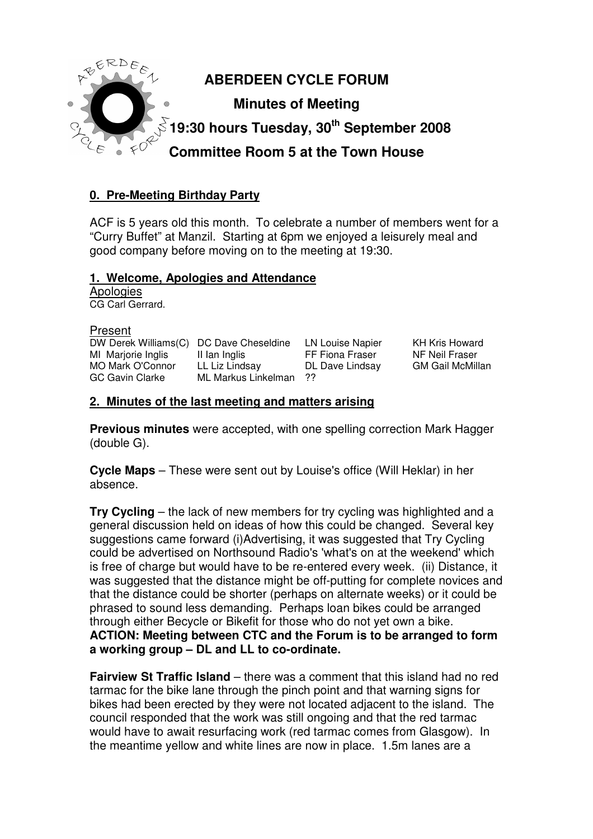

# **0. Pre-Meeting Birthday Party**

ACF is 5 years old this month. To celebrate a number of members went for a "Curry Buffet" at Manzil. Starting at 6pm we enjoyed a leisurely meal and good company before moving on to the meeting at 19:30.

#### **1. Welcome, Apologies and Attendance**

**Apologies** CG Carl Gerrard.

| Present                                 |                     |                        |
|-----------------------------------------|---------------------|------------------------|
| DW Derek Williams(C) DC Dave Cheseldine |                     | <b>LN Louise Napie</b> |
| MI Marjorie Inglis                      | II lan Inglis       | FF Fiona Fraser        |
| <b>MO Mark O'Connor</b>                 | LL Liz Lindsay      | DL Dave Lindsa         |
| GC Gavin Clarke                         | ML Markus Linkelman | - 22                   |
|                                         |                     |                        |

er KH Kris Howard NF Neil Fraser y GM Gail McMillan

#### **2. Minutes of the last meeting and matters arising**

**Previous minutes** were accepted, with one spelling correction Mark Hagger (double G).

**Cycle Maps** – These were sent out by Louise's office (Will Heklar) in her absence.

**Try Cycling** – the lack of new members for try cycling was highlighted and a general discussion held on ideas of how this could be changed. Several key suggestions came forward (i)Advertising, it was suggested that Try Cycling could be advertised on Northsound Radio's 'what's on at the weekend' which is free of charge but would have to be re-entered every week. (ii) Distance, it was suggested that the distance might be off-putting for complete novices and that the distance could be shorter (perhaps on alternate weeks) or it could be phrased to sound less demanding. Perhaps loan bikes could be arranged through either Becycle or Bikefit for those who do not yet own a bike. **ACTION: Meeting between CTC and the Forum is to be arranged to form a working group – DL and LL to co-ordinate.** 

**Fairview St Traffic Island** – there was a comment that this island had no red tarmac for the bike lane through the pinch point and that warning signs for bikes had been erected by they were not located adjacent to the island. The council responded that the work was still ongoing and that the red tarmac would have to await resurfacing work (red tarmac comes from Glasgow). In the meantime yellow and white lines are now in place. 1.5m lanes are a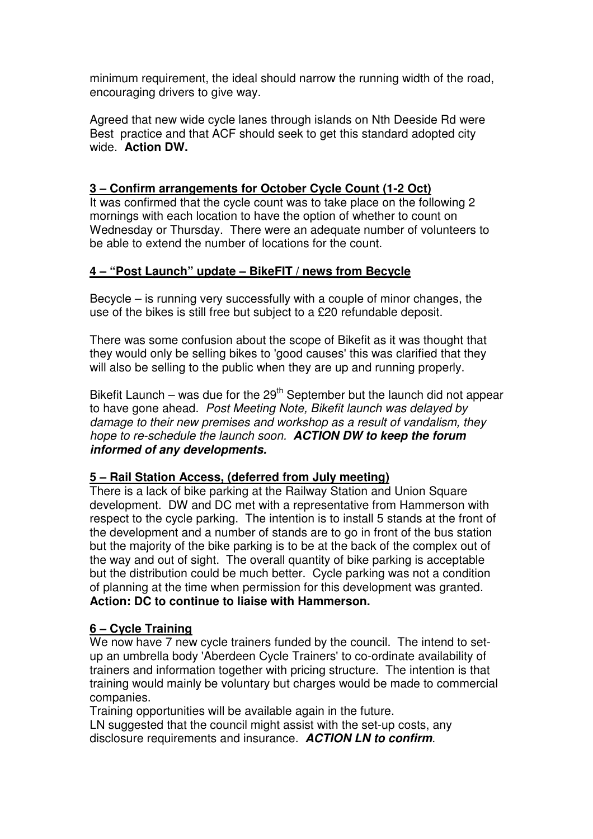minimum requirement, the ideal should narrow the running width of the road, encouraging drivers to give way.

Agreed that new wide cycle lanes through islands on Nth Deeside Rd were Best practice and that ACF should seek to get this standard adopted city wide. **Action DW.**

### **3 – Confirm arrangements for October Cycle Count (1-2 Oct)**

It was confirmed that the cycle count was to take place on the following 2 mornings with each location to have the option of whether to count on Wednesday or Thursday. There were an adequate number of volunteers to be able to extend the number of locations for the count.

### **4 – "Post Launch" update – BikeFIT / news from Becycle**

Becycle – is running very successfully with a couple of minor changes, the use of the bikes is still free but subject to a £20 refundable deposit.

There was some confusion about the scope of Bikefit as it was thought that they would only be selling bikes to 'good causes' this was clarified that they will also be selling to the public when they are up and running properly.

Bikefit Launch – was due for the  $29<sup>th</sup>$  September but the launch did not appear to have gone ahead. Post Meeting Note, Bikefit launch was delayed by damage to their new premises and workshop as a result of vandalism, they hope to re-schedule the launch soon. **ACTION DW to keep the forum informed of any developments.** 

### **5 – Rail Station Access, (deferred from July meeting)**

There is a lack of bike parking at the Railway Station and Union Square development. DW and DC met with a representative from Hammerson with respect to the cycle parking. The intention is to install 5 stands at the front of the development and a number of stands are to go in front of the bus station but the majority of the bike parking is to be at the back of the complex out of the way and out of sight. The overall quantity of bike parking is acceptable but the distribution could be much better. Cycle parking was not a condition of planning at the time when permission for this development was granted. **Action: DC to continue to liaise with Hammerson.** 

### **6 – Cycle Training**

We now have 7 new cycle trainers funded by the council. The intend to setup an umbrella body 'Aberdeen Cycle Trainers' to co-ordinate availability of trainers and information together with pricing structure. The intention is that training would mainly be voluntary but charges would be made to commercial companies.

Training opportunities will be available again in the future.

LN suggested that the council might assist with the set-up costs, any disclosure requirements and insurance. **ACTION LN to confirm**.